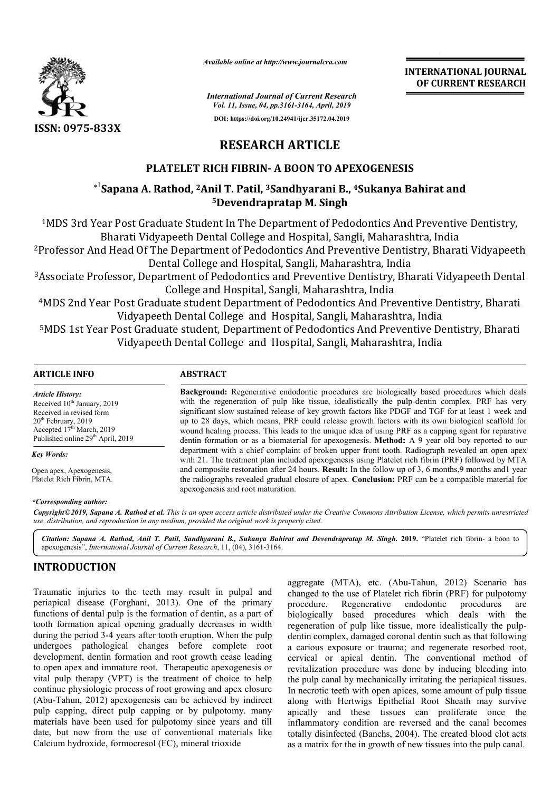

*Available online at http://www.journalcra.com*

*International Journal of Current Research Vol. 11, Issue, 04, pp.3161-3164, April, 2019*

**DOI: https://doi.org/10.24941/ijcr.35172.04.2019**

**INTERNATIONAL JOURNAL OF CURRENT RESEARCH**

# **RESEARCH ARTICLE**

# **PLATELET RICH FIBRIN FIBRIN- A BOON TO APEXOGENESIS**

# **\***1 **Sapana A. Rathod, 2Anil T. Patil, Anil 3Sandhyarani B., 4Sukanya Bahirat and Sukanya Bahirat and 5Devendrapratap M. Singh**

<sup>1</sup>MDS 3rd Year Post Graduate Student In The Department of Pedodontics And Preventive Dentistry, Bharati Vidyapeeth Dental College and Hospital, Sangli, Maharashtra, India

<sup>2</sup>Professor And Head Of The Department of Pedodontics And Preventive Dentistry, Bharati Vidyapeeth Dental College and Hospital, Sangli, Maharashtra, India

<sup>3</sup>Associate Professor, Department of Pedodontics and Preventive Dentistry, Bharati Vidyapeeth Dental College and Hospital, Sangli, Maharashtra, India

4MDS 2nd Year Post Graduate student Department of Pedodontics And Preventive Dentistry, Bharati Vidyapeeth Dental College and Hospital, Sangli, Maharashtra, India

<sup>5</sup>MDS 1st Year Post Graduate student, Department of Pedodontics And Preventive Dentistry, Bharati Vidyapeeth Dental College and Hospital, Sangli, Maharashtra, India f Pedodontics And Preventive Dentistry,<br>pital, Sangli, Maharashtra, India<br>f Pedodontics And Preventive Dentistry,<br>pital, Sangli, Maharashtra, India

> Background: Regenerative endodontic procedures are biologically based procedures which deals Background: Regenerative endodontic procedures are biologically based procedures which deals with the regeneration of pulp like tissue, idealistically the pulp-dentin complex. PRF has very significant slow sustained release of key growth factors like PDGF and TGF for at least 1 week and up to 28 days, which means, PRF could release growth factors with its own biological scaffold for up to 28 days, which means, PRF could release growth factors with its own biological scaffold for wound healing process. This leads to the unique idea of using PRF as a capping agent for reparative dentin formation or as a biomaterial for apexogenesis. **Method:** A 9 year old boy reported to our department with a chief complaint of broken upper front tooth. Radiograph revealed an open apex with 21. The treatment plan included apexogenesis using Platelet rich fibrin (PRF) followed by MTA and composite restoration after 24 hours. **Result:** In the follow up of 3, 6 months,9 months and1 year

### **ARTICLE INFO ABSTRACT**

*Article History:* Received 10<sup>th</sup> January, 2019 Received in revised form 20<sup>th</sup> February, 2019 Accepted  $17<sup>th</sup>$  March, 2019 Published online 29<sup>th</sup> April, 2019

*Key Words:*

Open apex, Apexogenesis, Platelet Rich Fibrin, MTA.

### *\*Corresponding author:*

the radiographs revealed gradual closure of apex. **Conclusion:** PRF can be a compatible material for apexogenesis and root maturation. department with a chief complaint of broken upper front tooth. Radiograph revealed an open apex<br>with 21. The treatment plan included apexogenesis using Platelet rich fibrin (PRF) followed by MTA<br>and composite restoration a

Copyright©2019, Sapana A. Rathod et al. This is an open access article distributed under the Creative Commons Attribution License, which permits unrestrictea *use, distribution, and reproduction in any medium, provided the original work is properly cited.*

*Citation: Sapana A. Rathod, Anil T. Patil, Sandhyarani B., Sukanya Bahirat and Devendrapratap M. Singh Singh.* **2019. 2019.** "Platelet rich fibrin- a boon to apexogenesis", *International Journal of Current Research* , 11, (04), 3161-3164.

## **INTRODUCTION**

Traumatic injuries to the teeth may result in pulpal and periapical disease (Forghani, 2013). One of the primary functions of dental pulp is the formation of dentin, as a part of tooth formation apical opening gradually decreases in width during the period 3-4 years after tooth eruption. When the pulp undergoes pathological changes before complete root development, dentin formation and root growth cease leading to open apex and immature root. Therapeutic apexogenesis or vital pulp therapy (VPT) is the treatment of choice to help continue physiologic process of root growing and apex closure (Abu-Tahun, 2012) apexogenesis can be achieved by indirect pulp capping, direct pulp capping or by pulpotomy. many materials have been used for pulpotomy since years and till date, but now from the use of conventional materials like Calcium hydroxide, formocresol (FC), mineral trioxide

aggregate (MTA), etc. (Abu-Tahun, 2012) Scenario has changed to the use of Platelet rich fibrin (PRF) for pulpotomy procedure. Regenerative endodontic procedures are biologically based procedures which deals with the regeneration of pulp like tissue, more idealistically the pulp dentin complex, damaged coronal dentin such as that following a carious exposure or trauma; and regenerate resorbed root, cervical or apical dentin. The conventional method of revitalization procedure was done by inducing bleeding into the pulp canal by mechanically irritating the periapical tissues. In necrotic teeth with open apices, some amount of pulp tissue along with Hertwigs Epithelial Root Sheath may survive apically and these tissues can proliferate once the inflammatory condition are reversed and the canal becomes inflammatory condition are reversed and the canal becomes totally disinfected (Banchs, 2004). The created blood clot acts as a matrix for the in growth of new tissues into the pulp canal. the use of Platelet rich fibrin (PRF) for pulpotomy<br>Regenerative endodontic procedures are<br>based procedures which deals with the<br>f pulp-like tissue, more idealistically the pulptin complex, damaged coronal dentin such as that following<br>arious exposure or trauma; and regenerate resorbed root,<br>vical or apical dentin. The conventional method of<br>talization procedure was done by inducing bleeding into Example 11<br>
INTERNATIONAL JOURNAL<br>
Correction Correction Correction Correction Correction and the cand become<br> *APEXOGENESIS*<br> **E.**<br> *APEXOGENESIS*<br> **E.**<br> **PAPEXOGENESIS**<br> **E.**<br> **PAPEXOGENESIS**<br> **E.**<br> **PAPEXOGENESIS**<br> **E.**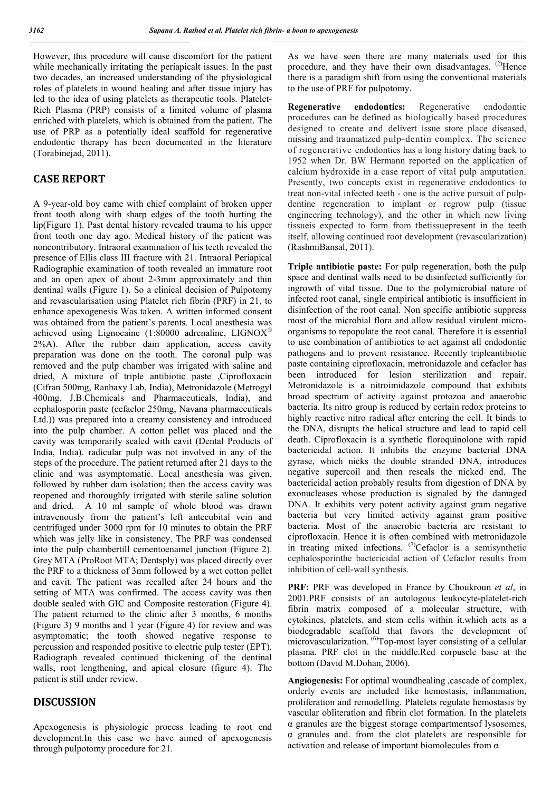However, this procedure will cause discomfort for the patient while mechanically irritating the periapicalt issues. In the past two decades, an increased understanding of the physiological roles of platelets in wound healing and after tissue injury has led to the idea of using platelets as therapeutic tools. Platelet-Rich Plasma (PRP) consists of a limited volume of plasma enriched with platelets, which is obtained from the patient. The use of PRP as a potentially ideal scaffold for regenerative endodontic therapy has been documented in the literature (Torabinejad, 2011).

## **CASE REPORT**

A 9-year-old boy came with chief complaint of broken upper front tooth along with sharp edges of the tooth hurting the lip(Figure 1). Past dental history revealed trauma to his upper front tooth one day ago. Medical history of the patient was noncontributory. Intraoral examination of his teeth revealed the presence of Ellis class III fracture with 21. Intraoral Periapical Radiographic examination of tooth revealed an immature root and an open apex of about 2-3mm approximately and thin dentinal walls (Figure 1). So a clinical decision of Pulpotomy and revascularisation using Platelet rich fibrin (PRF) in 21, to enhance apexogenesis Was taken. A written informed consent was obtained from the patient's parents. Local anesthesia was achieved using Lignocaine (1:80000 adrenaline, LIGNOX® 2%A). After the rubber dam application, access cavity preparation was done on the tooth. The coronal pulp was removed and the pulp chamber was irrigated with saline and dried, A mixture of triple antibiotic paste ,Ciprofloxacin (Cifran 500mg, Ranbaxy Lab, India), Metronidazole (Metrogyl 400mg, J.B.Chemicals and Pharmaceuticals, India), and cephalosporin paste (cefaclor 250mg, Navana pharmaceuticals Ltd.)) was prepared into a creamy consistency and introduced into the pulp chamber. A cotton pellet was placed and the cavity was temporarily sealed with cavit (Dental Products of India, India). radicular pulp was not involved in any of the steps of the procedure. The patient returned after 21 days to the clinic and was asymptomatic. Local anesthesia was given, followed by rubber dam isolation; then the access cavity was reopened and thoroughly irrigated with sterile saline solution and dried. A 10 ml sample of whole blood was drawn intravenously from the patient's left antecubital vein and centrifuged under 3000 rpm for 10 minutes to obtain the PRF which was jelly like in consistency. The PRF was condensed into the pulp chambertill cementoenamel junction (Figure 2). Grey MTA (ProRoot MTA; Dentsply) was placed directly over the PRF to a thickness of 3mm followed by a wet cotton pellet and cavit. The patient was recalled after 24 hours and the setting of MTA was confirmed. The access cavity was then double sealed with GIC and Composite restoration (Figure 4). The patient returned to the clinic after 3 months, 6 months (Figure 3) 9 months and 1 year (Figure 4) for review and was asymptomatic; the tooth showed negative response to percussion and responded positive to electric pulp tester (EPT). Radiograph revealed continued thickening of the dentinal walls, root lengthening, and apical closure (figure 4). The patient is still under review.

### **DISCUSSION**

Apexogenesis is physiologic process leading to root end development.In this case we have aimed of apexogenesis through pulpotomy procedure for 21.

As we have seen there are many materials used for this procedure, and they have their own disadvantages. <sup>(2)</sup>Hence there is a paradigm shift from using the conventional materials to the use of PRF for pulpotomy.

**Regenerative endodontics:** Regenerative endodontic procedures can be defined as biologically based procedures designed to create and delivert issue store place diseased, missing and traumatized pulp-dentin complex. The science of regenerative endodontics has a long history dating back to 1952 when Dr. BW Hermann reported on the application of calcium hydroxide in a case report of vital pulp amputation. Presently, two concepts exist in regenerative endodontics to treat non-vital infected teeth - one is the active pursuit of pulpdentine regeneration to implant or regrow pulp (tissue engineering technology), and the other in which new living tissueis expected to form from thetissuepresent in the teeth itself, allowing continued root development (revascularization) (RashmiBansal, 2011).

**Triple antibiotic paste:** For pulp regeneration, both the pulp space and dentinal walls need to be disinfected sufficiently for ingrowth of vital tissue. Due to the polymicrobial nature of infected root canal, single empirical antibiotic is insufficient in disinfection of the root canal. Non specific antibiotic suppress most of the microbial flora and allow residual virulent microorganisms to repopulate the root canal. Therefore it is essential to use combination of antibiotics to act against all endodontic pathogens and to prevent resistance. Recently tripleantibiotic paste containing ciprofloxacin, metronidazole and cefaclor has been introduced for lesion sterilization and repair. Metronidazole is a nitroimidazole compound that exhibits broad spectrum of activity against protozoa and anaerobic bacteria. Its nitro group is reduced by certain redox proteins to highly reactive nitro radical after entering the cell. It binds to the DNA, disrupts the helical structure and lead to rapid cell death. Ciprofloxacin is a synthetic floroquinolone with rapid bactericidal action. It inhibits the enzyme bacterial DNA gyrase, which nicks the double stranded DNA, introduces negative supercoil and then reseals the nicked end. The bactericidal action probably results from digestion of DNA by exonucleases whose production is signaled by the damaged DNA. It exhibits very potent activity against gram negative bacteria but very limited activity against gram positive bacteria. Most of the anaerobic bacteria are resistant to ciprofloxacin. Hence it is often combined with metronidazole in treating mixed infections.  $(7)$ Cefaclor is a semisynthetic cephalosporinthe bactericidal action of Cefaclor results from inhibition of cell-wall synthesis.

**PRF:** PRF was developed in France by Choukroun *et al*, in 2001.PRF consists of an autologous leukocyte-platelet-rich fibrin matrix composed of a molecular structure, with cytokines, platelets, and stem cells within it.which acts as a biodegradable scaffold that favors the development of microvascularization. <sup>(6)</sup>Top-most layer consisting of a cellular plasma. PRF clot in the middle.Red corpuscle base at the bottom (David M.Dohan, 2006).

**Angiogenesis:** For optimal woundhealing ,cascade of complex, orderly events are included like hemostasis, inflammation, proliferation and remodelling. Platelets regulate hemostasis by vascular obliteration and fibrin clot formation. In the platelets α granules are the biggest storage compartmentsof lysosomes, α granules and. from the clot platelets are responsible for activation and release of important biomolecules from  $\alpha$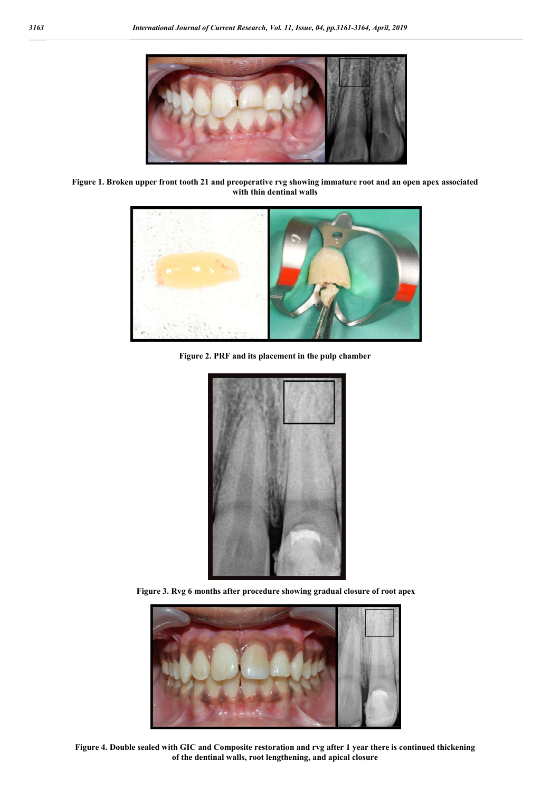

**Figure 1. Broken upper front tooth 21 and preoperative rvg showing immature root and an open apex associated with thin dentinal walls**



**Figure 2. PRF and its placement in the pulp chamber**



**Figure 3. Rvg 6 months after procedure showing gradual closure of root apex**



**Figure 4. Double sealed with GIC and Composite restoration and rvg after 1 year there is continued thickening of the dentinal walls, root lengthening, and apical closure**